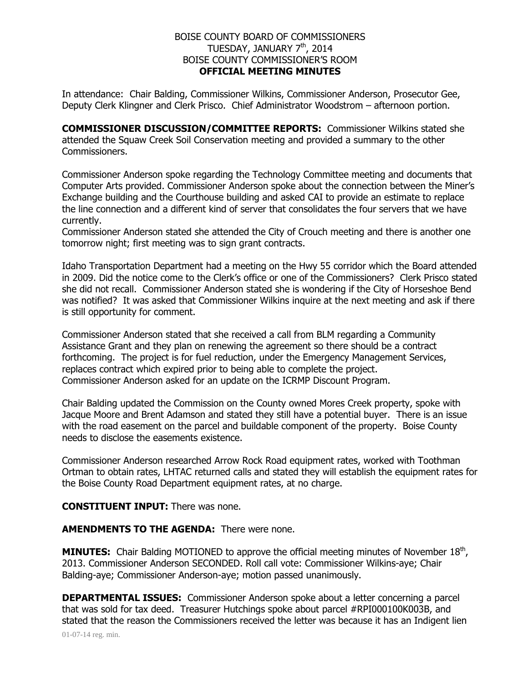## BOISE COUNTY BOARD OF COMMISSIONERS TUESDAY, JANUARY 7<sup>th</sup>, 2014 BOISE COUNTY COMMISSIONER'S ROOM **OFFICIAL MEETING MINUTES**

In attendance: Chair Balding, Commissioner Wilkins, Commissioner Anderson, Prosecutor Gee, Deputy Clerk Klingner and Clerk Prisco. Chief Administrator Woodstrom – afternoon portion.

**COMMISSIONER DISCUSSION/COMMITTEE REPORTS:** Commissioner Wilkins stated she attended the Squaw Creek Soil Conservation meeting and provided a summary to the other Commissioners.

Commissioner Anderson spoke regarding the Technology Committee meeting and documents that Computer Arts provided. Commissioner Anderson spoke about the connection between the Miner's Exchange building and the Courthouse building and asked CAI to provide an estimate to replace the line connection and a different kind of server that consolidates the four servers that we have currently.

Commissioner Anderson stated she attended the City of Crouch meeting and there is another one tomorrow night; first meeting was to sign grant contracts.

Idaho Transportation Department had a meeting on the Hwy 55 corridor which the Board attended in 2009. Did the notice come to the Clerk's office or one of the Commissioners? Clerk Prisco stated she did not recall. Commissioner Anderson stated she is wondering if the City of Horseshoe Bend was notified? It was asked that Commissioner Wilkins inquire at the next meeting and ask if there is still opportunity for comment.

Commissioner Anderson stated that she received a call from BLM regarding a Community Assistance Grant and they plan on renewing the agreement so there should be a contract forthcoming. The project is for fuel reduction, under the Emergency Management Services, replaces contract which expired prior to being able to complete the project. Commissioner Anderson asked for an update on the ICRMP Discount Program.

Chair Balding updated the Commission on the County owned Mores Creek property, spoke with Jacque Moore and Brent Adamson and stated they still have a potential buyer. There is an issue with the road easement on the parcel and buildable component of the property. Boise County needs to disclose the easements existence.

Commissioner Anderson researched Arrow Rock Road equipment rates, worked with Toothman Ortman to obtain rates, LHTAC returned calls and stated they will establish the equipment rates for the Boise County Road Department equipment rates, at no charge.

## **CONSTITUENT INPUT:** There was none.

**AMENDMENTS TO THE AGENDA:** There were none.

**MINUTES:** Chair Balding MOTIONED to approve the official meeting minutes of November 18<sup>th</sup>, 2013. Commissioner Anderson SECONDED. Roll call vote: Commissioner Wilkins-aye; Chair Balding-aye; Commissioner Anderson-aye; motion passed unanimously.

**DEPARTMENTAL ISSUES:** Commissioner Anderson spoke about a letter concerning a parcel that was sold for tax deed. Treasurer Hutchings spoke about parcel #RPI000100K003B, and stated that the reason the Commissioners received the letter was because it has an Indigent lien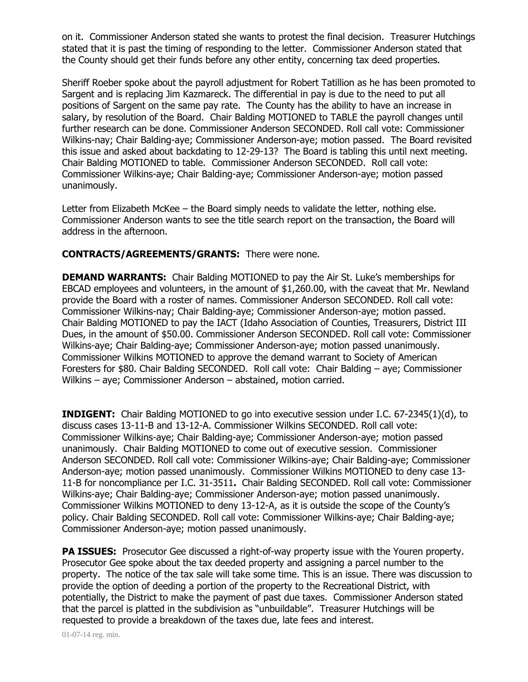on it. Commissioner Anderson stated she wants to protest the final decision. Treasurer Hutchings stated that it is past the timing of responding to the letter. Commissioner Anderson stated that the County should get their funds before any other entity, concerning tax deed properties.

Sheriff Roeber spoke about the payroll adjustment for Robert Tatillion as he has been promoted to Sargent and is replacing Jim Kazmareck. The differential in pay is due to the need to put all positions of Sargent on the same pay rate. The County has the ability to have an increase in salary, by resolution of the Board. Chair Balding MOTIONED to TABLE the payroll changes until further research can be done. Commissioner Anderson SECONDED. Roll call vote: Commissioner Wilkins-nay; Chair Balding-aye; Commissioner Anderson-aye; motion passed. The Board revisited this issue and asked about backdating to 12-29-13? The Board is tabling this until next meeting. Chair Balding MOTIONED to table. Commissioner Anderson SECONDED. Roll call vote: Commissioner Wilkins-aye; Chair Balding-aye; Commissioner Anderson-aye; motion passed unanimously.

Letter from Elizabeth McKee – the Board simply needs to validate the letter, nothing else. Commissioner Anderson wants to see the title search report on the transaction, the Board will address in the afternoon.

## **CONTRACTS/AGREEMENTS/GRANTS:** There were none.

**DEMAND WARRANTS:** Chair Balding MOTIONED to pay the Air St. Luke's memberships for EBCAD employees and volunteers, in the amount of \$1,260.00, with the caveat that Mr. Newland provide the Board with a roster of names. Commissioner Anderson SECONDED. Roll call vote: Commissioner Wilkins-nay; Chair Balding-aye; Commissioner Anderson-aye; motion passed. Chair Balding MOTIONED to pay the IACT (Idaho Association of Counties, Treasurers, District III Dues, in the amount of \$50.00. Commissioner Anderson SECONDED. Roll call vote: Commissioner Wilkins-aye; Chair Balding-aye; Commissioner Anderson-aye; motion passed unanimously. Commissioner Wilkins MOTIONED to approve the demand warrant to Society of American Foresters for \$80. Chair Balding SECONDED. Roll call vote: Chair Balding – aye; Commissioner Wilkins – aye; Commissioner Anderson – abstained, motion carried.

**INDIGENT:** Chair Balding MOTIONED to go into executive session under I.C. 67-2345(1)(d), to discuss cases 13-11-B and 13-12-A. Commissioner Wilkins SECONDED. Roll call vote: Commissioner Wilkins-aye; Chair Balding-aye; Commissioner Anderson-aye; motion passed unanimously. Chair Balding MOTIONED to come out of executive session. Commissioner Anderson SECONDED. Roll call vote: Commissioner Wilkins-aye; Chair Balding-aye; Commissioner Anderson-aye; motion passed unanimously. Commissioner Wilkins MOTIONED to deny case 13- 11-B for noncompliance per I.C. 31-3511**.** Chair Balding SECONDED. Roll call vote: Commissioner Wilkins-aye; Chair Balding-aye; Commissioner Anderson-aye; motion passed unanimously. Commissioner Wilkins MOTIONED to deny 13-12-A, as it is outside the scope of the County's policy. Chair Balding SECONDED. Roll call vote: Commissioner Wilkins-aye; Chair Balding-aye; Commissioner Anderson-aye; motion passed unanimously.

**PA ISSUES:** Prosecutor Gee discussed a right-of-way property issue with the Youren property. Prosecutor Gee spoke about the tax deeded property and assigning a parcel number to the property. The notice of the tax sale will take some time. This is an issue. There was discussion to provide the option of deeding a portion of the property to the Recreational District, with potentially, the District to make the payment of past due taxes. Commissioner Anderson stated that the parcel is platted in the subdivision as "unbuildable". Treasurer Hutchings will be requested to provide a breakdown of the taxes due, late fees and interest.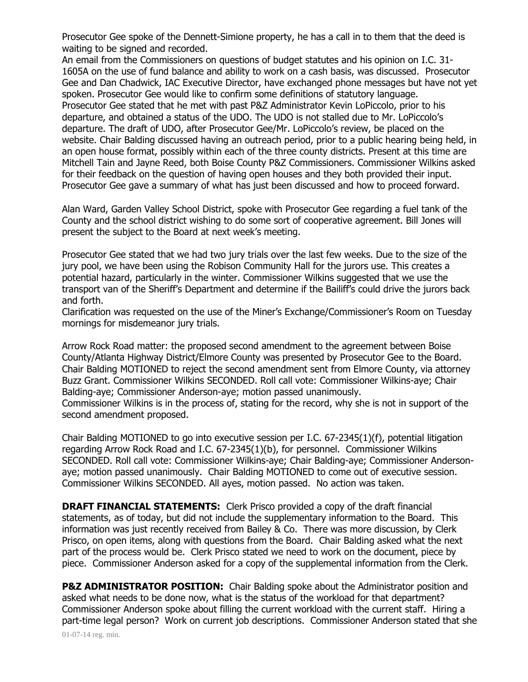Prosecutor Gee spoke of the Dennett-Simione property, he has a call in to them that the deed is waiting to be signed and recorded.

An email from the Commissioners on questions of budget statutes and his opinion on I.C. 31- 1605A on the use of fund balance and ability to work on a cash basis, was discussed. Prosecutor Gee and Dan Chadwick, IAC Executive Director, have exchanged phone messages but have not yet spoken. Prosecutor Gee would like to confirm some definitions of statutory language. Prosecutor Gee stated that he met with past P&Z Administrator Kevin LoPiccolo, prior to his departure, and obtained a status of the UDO. The UDO is not stalled due to Mr. LoPiccolo's departure. The draft of UDO, after Prosecutor Gee/Mr. LoPiccolo's review, be placed on the website. Chair Balding discussed having an outreach period, prior to a public hearing being held, in an open house format, possibly within each of the three county districts. Present at this time are Mitchell Tain and Jayne Reed, both Boise County P&Z Commissioners. Commissioner Wilkins asked for their feedback on the question of having open houses and they both provided their input. Prosecutor Gee gave a summary of what has just been discussed and how to proceed forward.

Alan Ward, Garden Valley School District, spoke with Prosecutor Gee regarding a fuel tank of the County and the school district wishing to do some sort of cooperative agreement. Bill Jones will present the subject to the Board at next week's meeting.

Prosecutor Gee stated that we had two jury trials over the last few weeks. Due to the size of the jury pool, we have been using the Robison Community Hall for the jurors use. This creates a potential hazard, particularly in the winter. Commissioner Wilkins suggested that we use the transport van of the Sheriff's Department and determine if the Bailiff's could drive the jurors back and forth.

Clarification was requested on the use of the Miner's Exchange/Commissioner's Room on Tuesday mornings for misdemeanor jury trials.

Arrow Rock Road matter: the proposed second amendment to the agreement between Boise County/Atlanta Highway District/Elmore County was presented by Prosecutor Gee to the Board. Chair Balding MOTIONED to reject the second amendment sent from Elmore County, via attorney Buzz Grant. Commissioner Wilkins SECONDED. Roll call vote: Commissioner Wilkins-aye; Chair Balding-aye; Commissioner Anderson-aye; motion passed unanimously.

Commissioner Wilkins is in the process of, stating for the record, why she is not in support of the second amendment proposed.

Chair Balding MOTIONED to go into executive session per I.C. 67-2345(1)(f), potential litigation regarding Arrow Rock Road and I.C. 67-2345(1)(b), for personnel. Commissioner Wilkins SECONDED. Roll call vote: Commissioner Wilkins-aye; Chair Balding-aye; Commissioner Andersonaye; motion passed unanimously. Chair Balding MOTIONED to come out of executive session. Commissioner Wilkins SECONDED. All ayes, motion passed. No action was taken.

**DRAFT FINANCIAL STATEMENTS:** Clerk Prisco provided a copy of the draft financial statements, as of today, but did not include the supplementary information to the Board. This information was just recently received from Bailey & Co. There was more discussion, by Clerk Prisco, on open items, along with questions from the Board. Chair Balding asked what the next part of the process would be. Clerk Prisco stated we need to work on the document, piece by piece. Commissioner Anderson asked for a copy of the supplemental information from the Clerk.

**P&Z ADMINISTRATOR POSITION:** Chair Balding spoke about the Administrator position and asked what needs to be done now, what is the status of the workload for that department? Commissioner Anderson spoke about filling the current workload with the current staff. Hiring a part-time legal person? Work on current job descriptions. Commissioner Anderson stated that she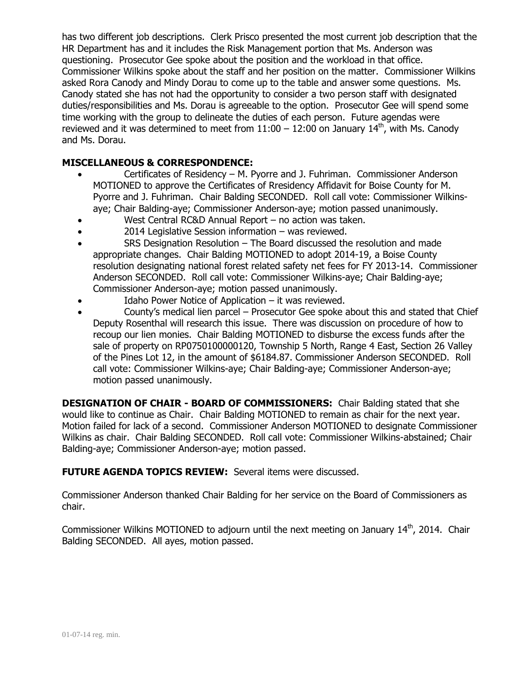has two different job descriptions. Clerk Prisco presented the most current job description that the HR Department has and it includes the Risk Management portion that Ms. Anderson was questioning. Prosecutor Gee spoke about the position and the workload in that office. Commissioner Wilkins spoke about the staff and her position on the matter. Commissioner Wilkins asked Rora Canody and Mindy Dorau to come up to the table and answer some questions. Ms. Canody stated she has not had the opportunity to consider a two person staff with designated duties/responsibilities and Ms. Dorau is agreeable to the option. Prosecutor Gee will spend some time working with the group to delineate the duties of each person. Future agendas were reviewed and it was determined to meet from  $11:00 - 12:00$  on January  $14<sup>th</sup>$ , with Ms. Canody and Ms. Dorau.

## **MISCELLANEOUS & CORRESPONDENCE:**

- Certificates of Residency M. Pyorre and J. Fuhriman. Commissioner Anderson MOTIONED to approve the Certificates of Rresidency Affidavit for Boise County for M. Pyorre and J. Fuhriman. Chair Balding SECONDED. Roll call vote: Commissioner Wilkinsaye; Chair Balding-aye; Commissioner Anderson-aye; motion passed unanimously.
- West Central RC&D Annual Report no action was taken.
- 2014 Legislative Session information was reviewed.
- SRS Designation Resolution The Board discussed the resolution and made appropriate changes. Chair Balding MOTIONED to adopt 2014-19, a Boise County resolution designating national forest related safety net fees for FY 2013-14. Commissioner Anderson SECONDED. Roll call vote: Commissioner Wilkins-aye; Chair Balding-aye; Commissioner Anderson-aye; motion passed unanimously.
- Idaho Power Notice of Application it was reviewed.
- County's medical lien parcel Prosecutor Gee spoke about this and stated that Chief Deputy Rosenthal will research this issue. There was discussion on procedure of how to recoup our lien monies. Chair Balding MOTIONED to disburse the excess funds after the sale of property on RP0750100000120, Township 5 North, Range 4 East, Section 26 Valley of the Pines Lot 12, in the amount of \$6184.87. Commissioner Anderson SECONDED. Roll call vote: Commissioner Wilkins-aye; Chair Balding-aye; Commissioner Anderson-aye; motion passed unanimously.

**DESIGNATION OF CHAIR - BOARD OF COMMISSIONERS:** Chair Balding stated that she would like to continue as Chair. Chair Balding MOTIONED to remain as chair for the next year. Motion failed for lack of a second. Commissioner Anderson MOTIONED to designate Commissioner Wilkins as chair. Chair Balding SECONDED. Roll call vote: Commissioner Wilkins-abstained; Chair Balding-aye; Commissioner Anderson-aye; motion passed.

**FUTURE AGENDA TOPICS REVIEW:** Several items were discussed.

Commissioner Anderson thanked Chair Balding for her service on the Board of Commissioners as chair.

Commissioner Wilkins MOTIONED to adjourn until the next meeting on January 14<sup>th</sup>, 2014. Chair Balding SECONDED. All ayes, motion passed.